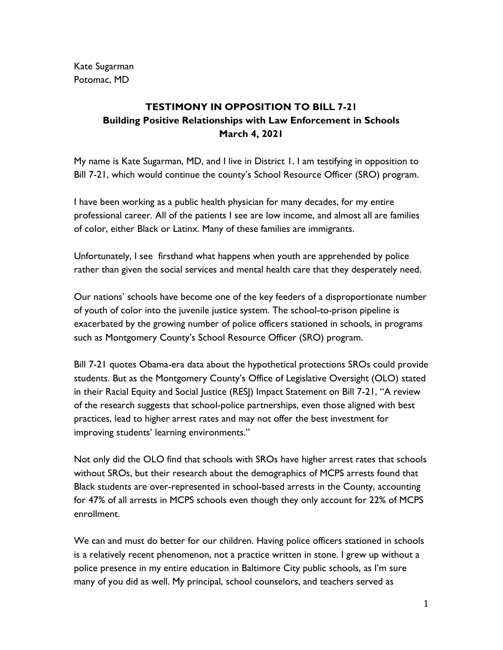Kate Sugarman Potomac, MD

## **TESTIMONY IN OPPOSITION TO BILL 7-21 Building Positive Relationships with Law Enforcement in Schools March 4, 2021**

My name is Kate Sugarman, MD, and I live in District 1. I am testifying in opposition to Bill 7-21, which would continue the county's School Resource Officer (SRO) program.

I have been working as a public health physician for many decades, for my entire professional career. All of the patients I see are low income, and almost all are families of color, either Black or Latinx. Many of these families are immigrants.

Unfortunately, I see firsthand what happens when youth are apprehended by police rather than given the social services and mental health care that they desperately need.

Our nations' schools have become one of the key feeders of a disproportionate number of youth of color into the juvenile justice system. The school-to-prison pipeline is exacerbated by the growing number of police officers stationed in schools, in programs such as Montgomery County's School Resource Officer (SRO) program.

Bill 7-21 quotes Obama-era data about the hypothetical protections SROs could provide students. But as the Montgomery County's Office of Legislative Oversight (OLO) stated in their Racial Equity and Social Justice (RESJ) Impact Statement on Bill 7-21, "A review of the research suggests that school-police partnerships, even those aligned with best practices, lead to higher arrest rates and may not offer the best investment for improving students' learning environments."

Not only did the OLO find that schools with SROs have higher arrest rates that schools without SROs, but their research about the demographics of MCPS arrests found that Black students are over-represented in school-based arrests in the County, accounting for 47% of all arrests in MCPS schools even though they only account for 22% of MCPS enrollment.

We can and must do better for our children. Having police officers stationed in schools is a relatively recent phenomenon, not a practice written in stone. I grew up without a police presence in my entire education in Baltimore City public schools, as I'm sure many of you did as well. My principal, school counselors, and teachers served as